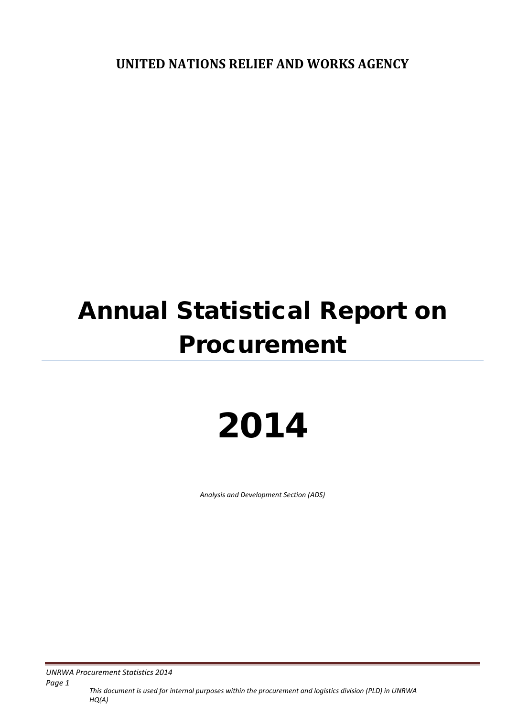**UNITED NATIONS RELIEF AND WORKS AGENCY**

# Annual Statistical Report on Procurement

# 2014

*Analysis and Development Section (ADS)*

*UNRWA Procurement Statistics 2014* 

*This document is used for internal purposes within the procurement and logistics division (PLD) in UNRWA HQ(A) Page 1*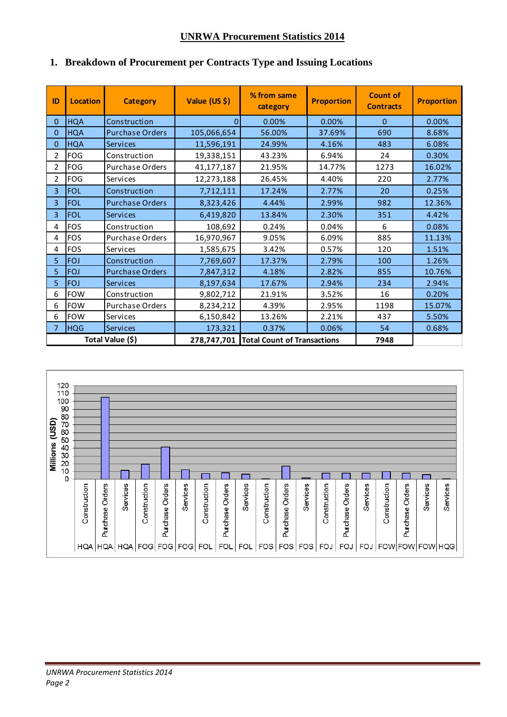### **UNRWA Procurement Statistics 2014**

| ID               | <b>Location</b> | <b>Category</b>        | Value (US \$) | % from same<br>category                 | <b>Proportion</b> | <b>Count of</b><br><b>Contracts</b> | <b>Proportion</b> |
|------------------|-----------------|------------------------|---------------|-----------------------------------------|-------------------|-------------------------------------|-------------------|
| 0                | <b>HQA</b>      | Construction           | 0             | 0.00%                                   | 0.00%             | $\Omega$                            | 0.00%             |
| 0                | <b>HQA</b>      | <b>Purchase Orders</b> | 105,066,654   | 56.00%                                  | 37.69%            | 690                                 | 8.68%             |
| 0                | <b>HQA</b>      | <b>Services</b>        | 11,596,191    | 24.99%                                  | 4.16%             | 483                                 | 6.08%             |
| 2                | <b>FOG</b>      | Construction           | 19,338,151    | 43.23%                                  | 6.94%             | 24                                  | 0.30%             |
| 2                | <b>FOG</b>      | Purchase Orders        | 41,177,187    | 21.95%                                  | 14.77%            | 1273                                | 16.02%            |
| 2                | <b>FOG</b>      | Services               | 12,273,188    | 26.45%                                  | 4.40%             | 220                                 | 2.77%             |
| 3                | <b>FOL</b>      | Construction           | 7,712,111     | 17.24%                                  | 2.77%             | 20                                  | 0.25%             |
| $\overline{3}$   | <b>FOL</b>      | <b>Purchase Orders</b> | 8,323,426     | 4.44%                                   | 2.99%             | 982                                 | 12.36%            |
| 3                | <b>FOL</b>      | <b>Services</b>        | 6,419,820     | 13.84%                                  | 2.30%             | 351                                 | 4.42%             |
| 4                | <b>FOS</b>      | Construction           | 108,692       | 0.24%                                   | 0.04%             | 6                                   | 0.08%             |
| 4                | <b>FOS</b>      | <b>Purchase Orders</b> | 16,970,967    | 9.05%                                   | 6.09%             | 885                                 | 11.13%            |
| 4                | <b>FOS</b>      | Services               | 1,585,675     | 3.42%                                   | 0.57%             | 120                                 | 1.51%             |
| 5                | <b>FOJ</b>      | Construction           | 7,769,607     | 17.37%                                  | 2.79%             | 100                                 | 1.26%             |
| 5                | <b>FOJ</b>      | <b>Purchase Orders</b> | 7,847,312     | 4.18%                                   | 2.82%             | 855                                 | 10.76%            |
| 5                | <b>FOJ</b>      | <b>Services</b>        | 8,197,634     | 17.67%                                  | 2.94%             | 234                                 | 2.94%             |
| 6                | <b>FOW</b>      | Construction           | 9,802,712     | 21.91%                                  | 3.52%             | 16                                  | 0.20%             |
| 6                | <b>FOW</b>      | <b>Purchase Orders</b> | 8,234,212     | 4.39%                                   | 2.95%             | 1198                                | 15.07%            |
| 6                | <b>FOW</b>      | Services               | 6,150,842     | 13.26%                                  | 2.21%             | 437                                 | 5.50%             |
| 7                | <b>HQG</b>      | <b>Services</b>        | 173,321       | 0.37%                                   | 0.06%             | 54                                  | 0.68%             |
| Total Value (\$) |                 |                        |               | 278,747,701 Total Count of Transactions |                   | 7948                                |                   |

# **1. Breakdown of Procurement per Contracts Type and Issuing Locations**

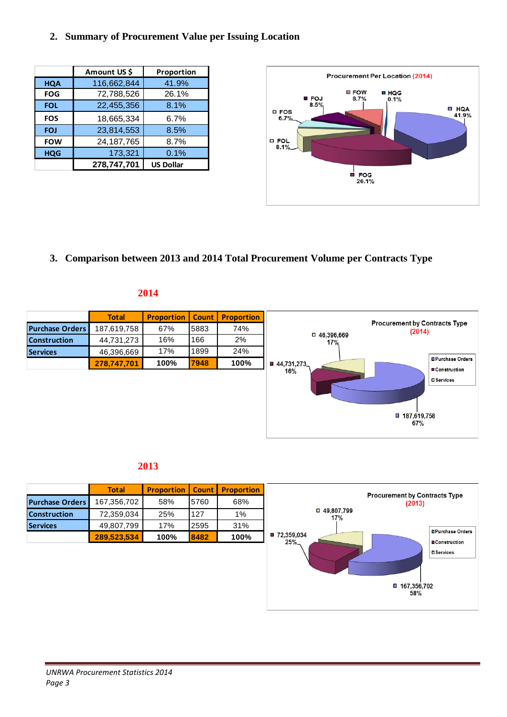#### **2. Summary of Procurement Value per Issuing Location**

|            | Amount US \$ | Proportion       |
|------------|--------------|------------------|
| <b>HQA</b> | 116,662,844  | 41.9%            |
| <b>FOG</b> | 72,788,526   | 26.1%            |
| <b>FOL</b> | 22,455,356   | 8.1%             |
| <b>FOS</b> | 18,665,334   | 6.7%             |
| <b>FOJ</b> | 23,814,553   | 8.5%             |
| <b>FOW</b> | 24, 187, 765 | 8.7%             |
| <b>HQG</b> | 173,321      | 0.1%             |
|            | 278,747,701  | <b>US Dollar</b> |



**3. Comparison between 2013 and 2014 Total Procurement Volume per Contracts Type**

#### **2014**



#### **2013**

|                        | <b>Total</b> | <b>Proportion</b> | <b>Count</b> | <b>Proportion</b> |
|------------------------|--------------|-------------------|--------------|-------------------|
| <b>Purchase Orders</b> | 167,356,702  | 58%               | 5760         | 68%               |
| <b>Construction</b>    | 72,359,034   | 25%               | 127          | 1%                |
| <b>Services</b>        | 49,807,799   | 17%               | 2595         | 31%               |
|                        | 289,523,534  | 100%              | 8482         | 100%              |

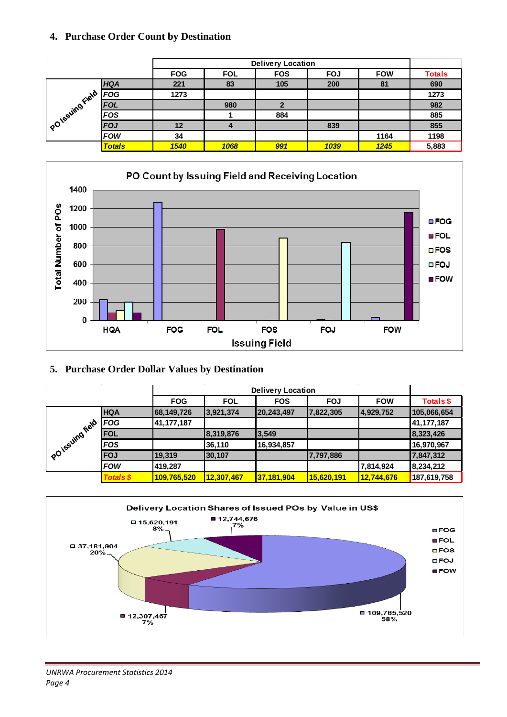### **4. Purchase Order Count by Destination**

|               |               |            | <b>Delivery Location</b> |              |            |            |               |  |  |
|---------------|---------------|------------|--------------------------|--------------|------------|------------|---------------|--|--|
|               |               | <b>FOG</b> | <b>FOL</b>               | <b>FOS</b>   | <b>FOJ</b> | <b>FOW</b> | <b>Totals</b> |  |  |
|               | <b>HQA</b>    | 221        | 83                       | 105          | 200        | 81         | 690           |  |  |
|               | <b>FOG</b>    | 1273       |                          |              |            |            | 1273          |  |  |
|               | <b>FOL</b>    |            | 980                      | $\mathbf{2}$ |            |            | 982           |  |  |
|               | <b>FOS</b>    |            |                          | 884          |            |            | 885           |  |  |
| PO1SSUMBField | FOJ           | 12         |                          |              | 839        |            | 855           |  |  |
|               | <b>FOW</b>    | 34         |                          |              |            | 1164       | 1198          |  |  |
|               | <b>Totals</b> | 1540       | 1068                     | 991          | 1039       | 1245       | 5,883         |  |  |



## **5. Purchase Order Dollar Values by Destination**

|                   |                  |              | <b>Delivery Location</b> |            |            |            |             |  |  |
|-------------------|------------------|--------------|--------------------------|------------|------------|------------|-------------|--|--|
|                   |                  | <b>FOG</b>   | <b>FOL</b>               | <b>FOS</b> | <b>FOJ</b> | <b>FOW</b> | Totals \$   |  |  |
|                   | <b>HQA</b>       | 68,149,726   | 3,921,374                | 20,243,497 | 7,822,305  | 4,929,752  | 105,066,654 |  |  |
|                   | FOG              | 41, 177, 187 |                          |            |            |            | 41,177,187  |  |  |
|                   | <b>FOL</b>       |              | 8,319,876                | 3,549      |            |            | 8,323,426   |  |  |
|                   | <b>FOS</b>       |              | 36,110                   | 16,934,857 |            |            | 16,970,967  |  |  |
| POTESUING FIELD / | <b>FOJ</b>       | 19,319       | 30,107                   |            | 7,797,886  |            | 7,847,312   |  |  |
|                   | <b>FOW</b>       | 419,287      |                          |            |            | 7,814,924  | 8,234,212   |  |  |
|                   | <b>Totals \$</b> | 109,765,520  | 12,307,467               | 37,181,904 | 15,620,191 | 12,744,676 | 187,619,758 |  |  |

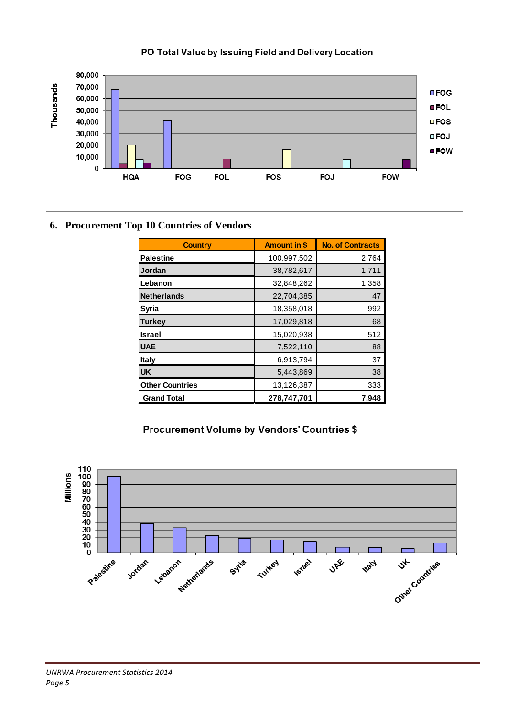

# **6. Procurement Top 10 Countries of Vendors**

| <b>Country</b>         | <b>Amount in \$</b> | <b>No. of Contracts</b> |
|------------------------|---------------------|-------------------------|
| <b>Palestine</b>       | 100,997,502         | 2,764                   |
| Jordan                 | 38,782,617          | 1,711                   |
| Lebanon                | 32,848,262          | 1,358                   |
| <b>Netherlands</b>     | 22,704,385          | 47                      |
| <b>Syria</b>           | 18,358,018          | 992                     |
| <b>Turkey</b>          | 17,029,818          | 68                      |
| <b>Israel</b>          | 15,020,938          | 512                     |
| <b>UAE</b>             | 7,522,110           | 88                      |
| <b>Italy</b>           | 6,913,794           | 37                      |
| <b>UK</b>              | 5,443,869           | 38                      |
| <b>Other Countries</b> | 13,126,387          | 333                     |
| <b>Grand Total</b>     | 278,747,701         | 7,948                   |



#### *UNRWA Procurement Statistics 2014 Page 5*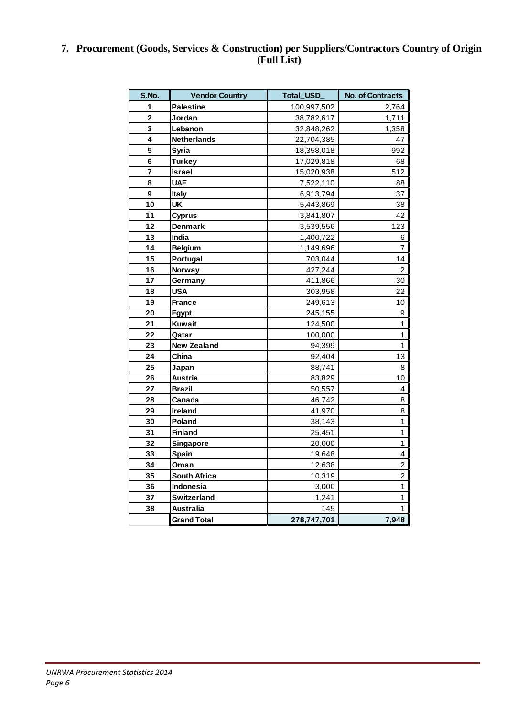# **7. Procurement (Goods, Services & Construction) per Suppliers/Contractors Country of Origin (Full List)**

| S.No.                   | <b>Vendor Country</b> | <b>Total USD</b> | <b>No. of Contracts</b> |
|-------------------------|-----------------------|------------------|-------------------------|
| 1                       | <b>Palestine</b>      | 100,997,502      | 2,764                   |
| $\overline{\mathbf{2}}$ | Jordan                | 38,782,617       | 1,711                   |
| $\overline{\mathbf{3}}$ | Lebanon               | 32,848,262       | 1,358                   |
| $\overline{\mathbf{4}}$ | <b>Netherlands</b>    | 22,704,385       | 47                      |
| 5                       | <b>Syria</b>          | 18,358,018       | 992                     |
| 6                       | <b>Turkey</b>         | 17,029,818       | 68                      |
| 7                       | <b>Israel</b>         | 15,020,938       | 512                     |
| 8                       | <b>UAE</b>            | 7,522,110        | 88                      |
| 9                       | <b>Italy</b>          | 6,913,794        | 37                      |
| 10                      | <b>UK</b>             | 5,443,869        | 38                      |
| 11                      | <b>Cyprus</b>         | 3,841,807        | 42                      |
| 12                      | <b>Denmark</b>        | 3,539,556        | 123                     |
| 13                      | India                 | 1,400,722        | 6                       |
| 14                      | <b>Belgium</b>        | 1,149,696        | 7                       |
| 15                      | Portugal              | 703,044          | 14                      |
| 16                      | <b>Norway</b>         | 427,244          | 2                       |
| 17                      | Germany               | 411,866          | 30                      |
| 18                      | <b>USA</b>            | 303,958          | 22                      |
| 19                      | <b>France</b>         | 249,613          | 10                      |
| 20                      | Egypt                 | 245,155          | 9                       |
| 21                      | <b>Kuwait</b>         | 124,500          | 1                       |
| 22                      | Qatar                 | 100,000          | $\overline{1}$          |
| 23                      | <b>New Zealand</b>    | 94,399           | 1                       |
| 24                      | China                 | 92,404           | 13                      |
| 25                      | Japan                 | 88,741           | 8                       |
| 26                      | Austria               | 83,829           | 10                      |
| 27                      | <b>Brazil</b>         | 50,557           | 4                       |
| 28                      | Canada                | 46,742           | 8                       |
| 29                      | Ireland               | 41,970           | 8                       |
| 30                      | Poland                | 38,143           | $\overline{1}$          |
| 31                      | <b>Finland</b>        | 25,451           | $\mathbf{1}$            |
| 32                      | Singapore             | 20,000           | $\mathbf{1}$            |
| 33                      | Spain                 | 19,648           | 4                       |
| 34                      | Oman                  | 12,638           | $\overline{c}$          |
| 35                      | <b>South Africa</b>   | 10,319           | $\overline{c}$          |
| 36                      | Indonesia             | 3,000            | $\mathbf{1}$            |
| 37                      | Switzerland           | 1,241            | 1                       |
| 38                      | <b>Australia</b>      | 145              | 1                       |
|                         | <b>Grand Total</b>    | 278,747,701      | 7,948                   |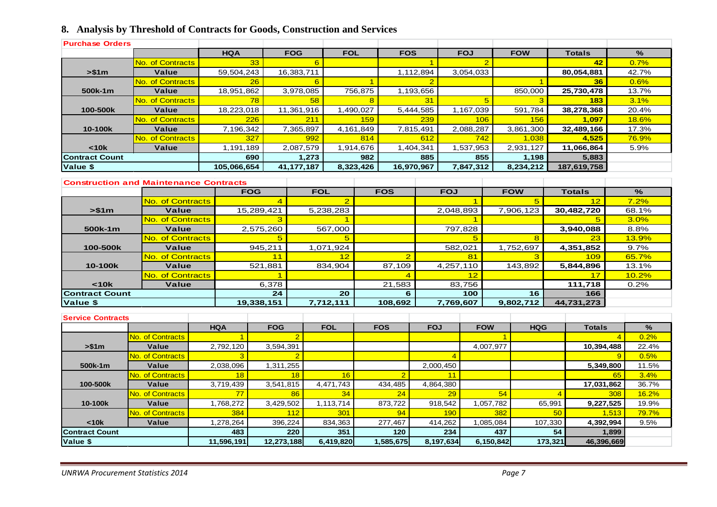# **8. Analysis by Threshold of Contracts for Goods, Construction and Services**

| <b>Purchase Orders</b>   |                                               |                |                |                |                |                |                          |                      |                |                |                      |                |                 |                |               |
|--------------------------|-----------------------------------------------|----------------|----------------|----------------|----------------|----------------|--------------------------|----------------------|----------------|----------------|----------------------|----------------|-----------------|----------------|---------------|
|                          |                                               | <b>HQA</b>     |                | <b>FOG</b>     | <b>FOL</b>     |                | <b>FOS</b>               |                      | <b>FOJ</b>     |                | <b>FOW</b>           |                | <b>Totals</b>   |                | $\frac{9}{6}$ |
|                          | <b>No. of Contracts</b>                       |                | 33             | 6              |                |                |                          | $\blacktriangleleft$ |                | $\overline{2}$ |                      |                | 42              |                | 0.7%          |
| > \$1m                   | Value                                         | 59,504,243     |                | 16,383,711     |                |                |                          | 1,112,894            |                | 3,054,033      |                      |                | 80,054,881      |                | 42.7%         |
|                          | <b>No. of Contracts</b>                       |                | 26             | 6              |                | $\overline{1}$ |                          | $\overline{2}$       |                |                |                      | $\overline{1}$ | 36              |                | 0.6%          |
| 500k-1m                  | <b>Value</b>                                  | 18,951,862     |                | 3,978,085      |                | 756,875        |                          | 1,193,656            |                |                | 850,000              |                | 25,730,478      |                | 13.7%         |
|                          | No. of Contracts                              |                | 78             | 58             |                | 8              |                          | 31                   |                | 5 <sup>5</sup> |                      | 3              | 183             |                | 3.1%          |
| 100-500k                 | Value                                         | 18,223,018     |                | 11,361,916     |                | 1,490,027      |                          | 5,444,585            |                | 1,167,039      | 591,784              |                | 38,278,368      |                | 20.4%         |
|                          | No. of Contracts                              |                | 226            | 211            |                | 159            |                          | 239                  |                | 106            |                      | 156            | 1.097           |                | 18.6%         |
| 10-100k                  | Value                                         | 7,196,342      |                | 7,365,897      |                | 4,161,849      |                          | 7,815,491            |                | 2,088,287      | 3,861,300            |                | 32,489,166      |                | 17.3%         |
|                          | No. of Contracts                              |                | 327            | 992            |                | 814            |                          | 612                  |                | 742            |                      | 1,038          | 4,525           |                | <b>76.9%</b>  |
| < 10k                    | Value                                         | 1,191,189      |                | 2,087,579      |                | 1,914,676      |                          | 1,404,341            |                | 1,537,953      | 2,931,127            |                | 11,066,864      |                | 5.9%          |
| <b>Contract Count</b>    |                                               |                | 690            | 1,273          |                | 982            |                          | 885                  |                | 855            |                      | 1,198          | 5,883           |                |               |
| Value \$                 |                                               | 105,066,654    |                | 41, 177, 187   |                | 8,323,426      | 16,970,967               |                      |                | 7,847,312      | 8,234,212            |                | 187,619,758     |                |               |
|                          |                                               |                |                |                |                |                |                          |                      |                |                |                      |                |                 |                |               |
|                          | <b>Construction and Maintenance Contracts</b> |                |                |                |                |                |                          |                      |                |                |                      |                |                 |                |               |
|                          |                                               |                | <b>FOG</b>     | <b>FOL</b>     |                |                | <b>FOS</b>               |                      | <b>FOJ</b>     |                | <b>FOW</b>           |                | <b>Totals</b>   |                | $\%$          |
|                          | No. of Contracts                              |                | $\overline{4}$ |                | $\overline{2}$ |                |                          |                      |                | $\overline{1}$ |                      | 5              | 12              |                | 7.2%          |
| > \$1m                   | Value                                         |                | 15,289,421     |                | 5,238,283      |                |                          |                      | 2,048,893      |                | 7,906,123            |                | 30,482,720      |                | 68.1%         |
|                          | <b>No. of Contracts</b>                       |                | 3              |                | $\mathbf 1$    |                |                          |                      |                | $\mathbf{1}$   |                      |                | 5               |                | 3.0%          |
| 500k-1m                  | Value                                         |                | 2,575,260      | 567,000        |                |                |                          | 797,828              |                |                |                      |                | 3,940,088       |                | 8.8%          |
|                          | No. of Contracts                              |                | 5              |                | 5              |                |                          | 582,021              |                | 5              |                      | 8              | 23              |                | 13.9%         |
| 100-500k                 | Value                                         |                | 945.211        |                | 1,071,924      |                |                          |                      |                |                | 1,752,697            |                | 4,351,852       |                | 9.7%          |
|                          | <b>No. of Contracts</b>                       |                | 11             |                | 12<br>834,904  |                | $\overline{2}$           | 4,257,110            |                | 81             |                      | 3              | 109             |                | 65.7%         |
| 10-100k                  | Value<br>No. of Contracts                     |                | 521,881        |                |                |                | 87,109                   |                      |                |                | 143,892              |                | 5,844,896<br>17 |                | 13.1%         |
| < 10k                    | Value                                         |                | 1<br>6,378     |                |                |                | $\overline{4}$<br>21,583 |                      | 83,756         | 12             |                      |                | 111,718         |                | 10.2%<br>0.2% |
| <b>Contract Count</b>    |                                               |                | 24             |                | 20             |                | 6                        |                      |                | 100            |                      | 16             | 166             |                |               |
| Value \$                 |                                               |                | 19,338,151     |                | 7,712,111      |                | 108,692                  |                      | 7,769,607      |                | 9,802,712            |                | 44,731,273      |                |               |
|                          |                                               |                |                |                |                |                |                          |                      |                |                |                      |                |                 |                |               |
| <b>Service Contracts</b> |                                               |                |                |                |                |                |                          |                      |                |                |                      |                |                 |                |               |
|                          |                                               | <b>HQA</b>     | <b>FOG</b>     |                | <b>FOL</b>     |                | <b>FOS</b>               | <b>FOJ</b>           |                | <b>FOW</b>     |                      | <b>HQG</b>     | <b>Totals</b>   |                | $\%$          |
|                          | <b>No. of Contracts</b>                       | $\overline{1}$ |                | $\overline{2}$ |                |                |                          |                      |                |                | $\blacktriangleleft$ |                |                 | $\overline{4}$ | 0.2%          |
| > \$1m                   | Value                                         | 2,792,120      | 3,594,391      |                |                |                |                          |                      |                | 4,007,977      |                      |                | 10,394,488      |                | 22.4%         |
|                          | <b>No. of Contracts</b>                       | 3              |                | $\overline{2}$ |                |                |                          |                      | $\overline{4}$ |                |                      |                |                 | 9              | 0.5%          |
| 500k-1m                  | Value                                         | 2,038,096      | 1,311,255      |                |                |                |                          | 2,000,450            |                |                |                      |                |                 | 5,349,800      | 11.5%         |
|                          | <b>No. of Contracts</b>                       | 18             |                | 18             | 16             |                | $\overline{2}$           |                      | 11             |                |                      |                |                 | 65             | 3.4%          |
| 100-500k                 | Value                                         | 3,719,439      | 3,541,815      |                | 4,471,743      |                | 434,485                  | 4,864,380            |                |                |                      |                | 17,031,862      |                | 36.7%         |
|                          | <b>No. of Contracts</b>                       | 77             |                | 86             | 34             |                | 24<br>29                 |                      |                | 54             | $\overline{4}$       |                | 308             | 16.2%          |               |
| 10-100k                  | Value                                         | 1,768,272      | 3,429,502      |                | 1,113,714      |                | 873,722                  | 918,542              |                |                | 1,057,782<br>65,991  |                | 9,227,525       |                | 19.9%         |
|                          | No. of Contracts                              | 384            |                | 112            | 301            |                | 94                       |                      | 190            | 382            |                      | 50             |                 | 1,513          | 79.7%         |
| $10k$                    | Value                                         | 1,278,264      | 396,224        |                | 834,363        |                | 277,467                  | 414,262              |                | 1,085,084      |                      | 107,330        | 4,392,994       |                | 9.5%          |
| <b>Contract Count</b>    |                                               | 483            |                | 220            | 351            |                | 120                      |                      | 234            |                | 437                  | 54             |                 | 1,899          |               |
| Value \$                 |                                               | 11,596,191     | 12,273,188     |                | 6,419,820      |                | 1,585,675                | 8,197,634            |                | 6,150,842      |                      | 173,321        | 46,396,669      |                |               |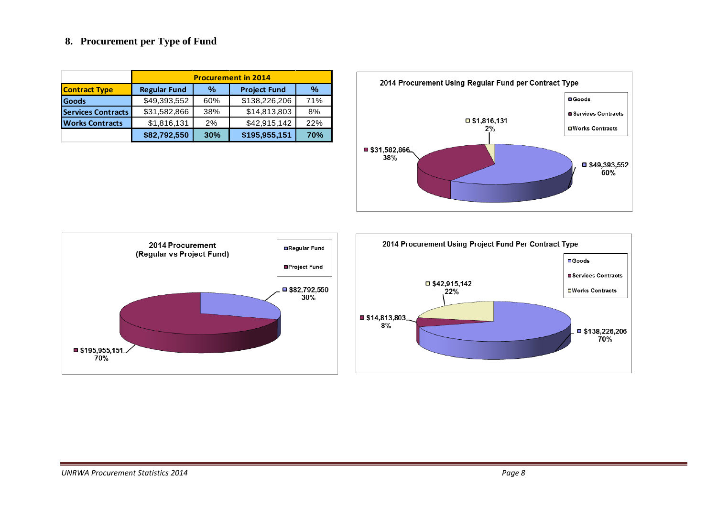### **8. Procurement per Type of Fund**

|                           | <b>Procurement in 2014</b> |     |                     |               |  |  |  |  |  |
|---------------------------|----------------------------|-----|---------------------|---------------|--|--|--|--|--|
| <b>Contract Type</b>      | <b>Regular Fund</b>        | %   | <b>Project Fund</b> | $\frac{0}{0}$ |  |  |  |  |  |
| <b>Goods</b>              | \$49,393,552               | 60% | \$138,226,206       | 71%           |  |  |  |  |  |
| <b>Services Contracts</b> | \$31,582,866               | 38% | \$14,813,803        | 8%            |  |  |  |  |  |
| <b>Works Contracts</b>    | \$1,816,131                | 2%  | \$42,915,142        | 22%           |  |  |  |  |  |
|                           | \$82,792,550               | 30% | \$195,955,151       | <b>70%</b>    |  |  |  |  |  |



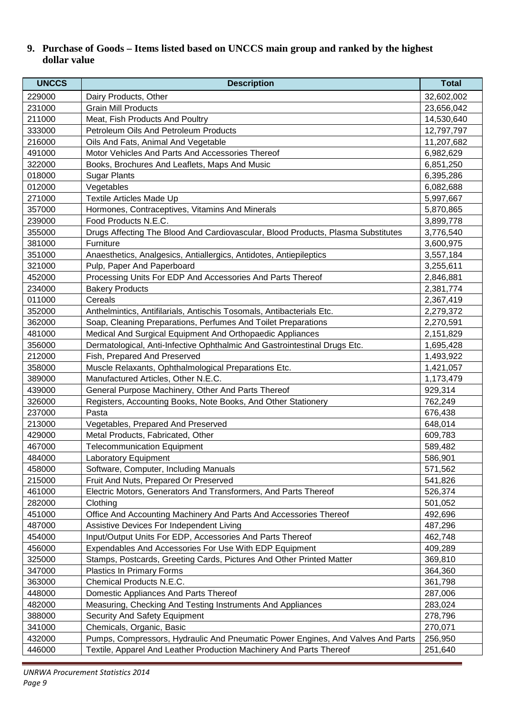# **9. Purchase of Goods – Items listed based on UNCCS main group and ranked by the highest dollar value**

| <b>UNCCS</b> | <b>Description</b>                                                               | <b>Total</b> |
|--------------|----------------------------------------------------------------------------------|--------------|
| 229000       | Dairy Products, Other                                                            | 32,602,002   |
| 231000       | <b>Grain Mill Products</b>                                                       | 23,656,042   |
| 211000       | Meat, Fish Products And Poultry                                                  | 14,530,640   |
| 333000       | Petroleum Oils And Petroleum Products                                            | 12,797,797   |
| 216000       | Oils And Fats, Animal And Vegetable                                              | 11,207,682   |
| 491000       | Motor Vehicles And Parts And Accessories Thereof                                 | 6,982,629    |
| 322000       | Books, Brochures And Leaflets, Maps And Music                                    | 6,851,250    |
| 018000       | <b>Sugar Plants</b>                                                              | 6,395,286    |
| 012000       | Vegetables                                                                       | 6,082,688    |
| 271000       | <b>Textile Articles Made Up</b>                                                  | 5,997,667    |
| 357000       | Hormones, Contraceptives, Vitamins And Minerals                                  | 5,870,865    |
| 239000       | Food Products N.E.C.                                                             | 3,899,778    |
| 355000       | Drugs Affecting The Blood And Cardiovascular, Blood Products, Plasma Substitutes | 3,776,540    |
| 381000       | Furniture                                                                        | 3,600,975    |
| 351000       | Anaesthetics, Analgesics, Antiallergics, Antidotes, Antiepileptics               | 3,557,184    |
| 321000       | Pulp, Paper And Paperboard                                                       | 3,255,611    |
| 452000       | Processing Units For EDP And Accessories And Parts Thereof                       | 2,846,881    |
| 234000       | <b>Bakery Products</b>                                                           | 2,381,774    |
| 011000       | Cereals                                                                          | 2,367,419    |
| 352000       | Anthelmintics, Antifilarials, Antischis Tosomals, Antibacterials Etc.            | 2,279,372    |
| 362000       | Soap, Cleaning Preparations, Perfumes And Toilet Preparations                    | 2,270,591    |
| 481000       | Medical And Surgical Equipment And Orthopaedic Appliances                        | 2,151,829    |
| 356000       | Dermatological, Anti-Infective Ophthalmic And Gastrointestinal Drugs Etc.        | 1,695,428    |
| 212000       | Fish, Prepared And Preserved                                                     | 1,493,922    |
| 358000       | Muscle Relaxants, Ophthalmological Preparations Etc.                             | 1,421,057    |
| 389000       | Manufactured Articles, Other N.E.C.                                              | 1,173,479    |
| 439000       | General Purpose Machinery, Other And Parts Thereof                               | 929,314      |
| 326000       | Registers, Accounting Books, Note Books, And Other Stationery                    | 762,249      |
| 237000       | Pasta                                                                            | 676,438      |
| 213000       | Vegetables, Prepared And Preserved                                               | 648,014      |
| 429000       | Metal Products, Fabricated, Other                                                | 609,783      |
| 467000       | <b>Telecommunication Equipment</b>                                               | 589,482      |
| 484000       | Laboratory Equipment                                                             | 586,901      |
| 458000       | Software, Computer, Including Manuals                                            | 571,562      |
| 215000       | Fruit And Nuts, Prepared Or Preserved                                            | 541,826      |
| 461000       | Electric Motors, Generators And Transformers, And Parts Thereof                  | 526,374      |
| 282000       | Clothing                                                                         | 501,052      |
| 451000       | Office And Accounting Machinery And Parts And Accessories Thereof                | 492,696      |
| 487000       | Assistive Devices For Independent Living                                         | 487,296      |
| 454000       | Input/Output Units For EDP, Accessories And Parts Thereof                        | 462,748      |
| 456000       | Expendables And Accessories For Use With EDP Equipment                           | 409,289      |
| 325000       | Stamps, Postcards, Greeting Cards, Pictures And Other Printed Matter             | 369,810      |
| 347000       | Plastics In Primary Forms                                                        | 364,360      |
| 363000       | Chemical Products N.E.C.                                                         | 361,798      |
| 448000       | Domestic Appliances And Parts Thereof                                            | 287,006      |
| 482000       | Measuring, Checking And Testing Instruments And Appliances                       | 283,024      |
| 388000       | Security And Safety Equipment                                                    | 278,796      |
| 341000       | Chemicals, Organic, Basic                                                        | 270,071      |
| 432000       | Pumps, Compressors, Hydraulic And Pneumatic Power Engines, And Valves And Parts  | 256,950      |
| 446000       | Textile, Apparel And Leather Production Machinery And Parts Thereof              | 251,640      |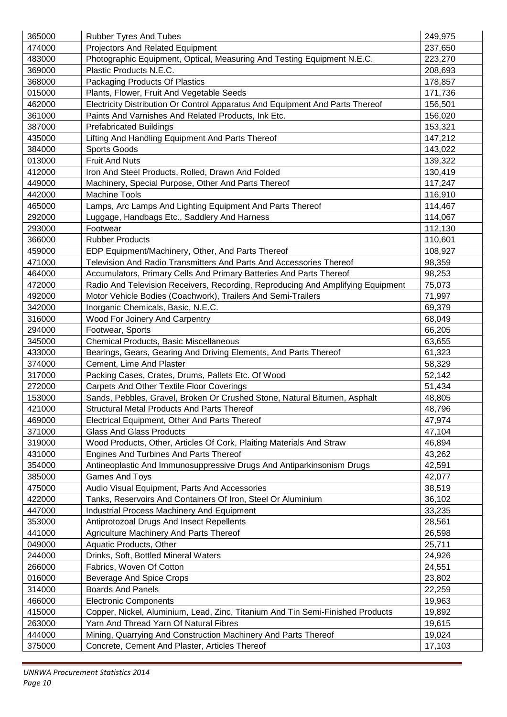| 365000 | <b>Rubber Tyres And Tubes</b>                                                   | 249,975 |
|--------|---------------------------------------------------------------------------------|---------|
| 474000 | <b>Projectors And Related Equipment</b>                                         | 237,650 |
| 483000 | Photographic Equipment, Optical, Measuring And Testing Equipment N.E.C.         | 223,270 |
| 369000 | Plastic Products N.E.C.                                                         | 208,693 |
| 368000 | Packaging Products Of Plastics                                                  | 178,857 |
| 015000 | Plants, Flower, Fruit And Vegetable Seeds                                       | 171,736 |
| 462000 | Electricity Distribution Or Control Apparatus And Equipment And Parts Thereof   | 156,501 |
| 361000 | Paints And Varnishes And Related Products, Ink Etc.                             | 156,020 |
| 387000 | <b>Prefabricated Buildings</b>                                                  | 153,321 |
| 435000 | Lifting And Handling Equipment And Parts Thereof                                | 147,212 |
| 384000 | Sports Goods                                                                    | 143,022 |
| 013000 | <b>Fruit And Nuts</b>                                                           | 139,322 |
| 412000 | Iron And Steel Products, Rolled, Drawn And Folded                               | 130,419 |
| 449000 | Machinery, Special Purpose, Other And Parts Thereof                             | 117,247 |
| 442000 | <b>Machine Tools</b>                                                            | 116,910 |
| 465000 | Lamps, Arc Lamps And Lighting Equipment And Parts Thereof                       | 114,467 |
| 292000 | Luggage, Handbags Etc., Saddlery And Harness                                    | 114,067 |
| 293000 | Footwear                                                                        | 112,130 |
| 366000 | <b>Rubber Products</b>                                                          | 110,601 |
| 459000 | EDP Equipment/Machinery, Other, And Parts Thereof                               | 108,927 |
| 471000 | Television And Radio Transmitters And Parts And Accessories Thereof             | 98,359  |
| 464000 | Accumulators, Primary Cells And Primary Batteries And Parts Thereof             | 98,253  |
| 472000 | Radio And Television Receivers, Recording, Reproducing And Amplifying Equipment | 75,073  |
| 492000 | Motor Vehicle Bodies (Coachwork), Trailers And Semi-Trailers                    | 71,997  |
| 342000 | Inorganic Chemicals, Basic, N.E.C.                                              | 69,379  |
| 316000 | Wood For Joinery And Carpentry                                                  | 68,049  |
| 294000 | Footwear, Sports                                                                | 66,205  |
| 345000 | Chemical Products, Basic Miscellaneous                                          | 63,655  |
| 433000 | Bearings, Gears, Gearing And Driving Elements, And Parts Thereof                | 61,323  |
| 374000 | Cement, Lime And Plaster                                                        | 58,329  |
| 317000 | Packing Cases, Crates, Drums, Pallets Etc. Of Wood                              | 52,142  |
| 272000 | <b>Carpets And Other Textile Floor Coverings</b>                                | 51,434  |
| 153000 | Sands, Pebbles, Gravel, Broken Or Crushed Stone, Natural Bitumen, Asphalt       | 48,805  |
| 421000 | <b>Structural Metal Products And Parts Thereof</b>                              | 48,796  |
| 469000 | Electrical Equipment, Other And Parts Thereof                                   | 47,974  |
| 371000 | <b>Glass And Glass Products</b>                                                 | 47,104  |
| 319000 | Wood Products, Other, Articles Of Cork, Plaiting Materials And Straw            | 46,894  |
| 431000 | Engines And Turbines And Parts Thereof                                          | 43,262  |
| 354000 | Antineoplastic And Immunosuppressive Drugs And Antiparkinsonism Drugs           | 42,591  |
| 385000 | <b>Games And Toys</b>                                                           | 42,077  |
| 475000 | Audio Visual Equipment, Parts And Accessories                                   | 38,519  |
| 422000 | Tanks, Reservoirs And Containers Of Iron, Steel Or Aluminium                    | 36,102  |
| 447000 | <b>Industrial Process Machinery And Equipment</b>                               | 33,235  |
| 353000 | Antiprotozoal Drugs And Insect Repellents                                       | 28,561  |
| 441000 | Agriculture Machinery And Parts Thereof                                         | 26,598  |
| 049000 | Aquatic Products, Other                                                         | 25,711  |
| 244000 | Drinks, Soft, Bottled Mineral Waters                                            | 24,926  |
| 266000 | Fabrics, Woven Of Cotton                                                        | 24,551  |
| 016000 | Beverage And Spice Crops                                                        | 23,802  |
| 314000 | <b>Boards And Panels</b>                                                        | 22,259  |
| 466000 | <b>Electronic Components</b>                                                    | 19,963  |
| 415000 | Copper, Nickel, Aluminium, Lead, Zinc, Titanium And Tin Semi-Finished Products  | 19,892  |
| 263000 | Yarn And Thread Yarn Of Natural Fibres                                          | 19,615  |
| 444000 | Mining, Quarrying And Construction Machinery And Parts Thereof                  | 19,024  |
| 375000 | Concrete, Cement And Plaster, Articles Thereof                                  | 17,103  |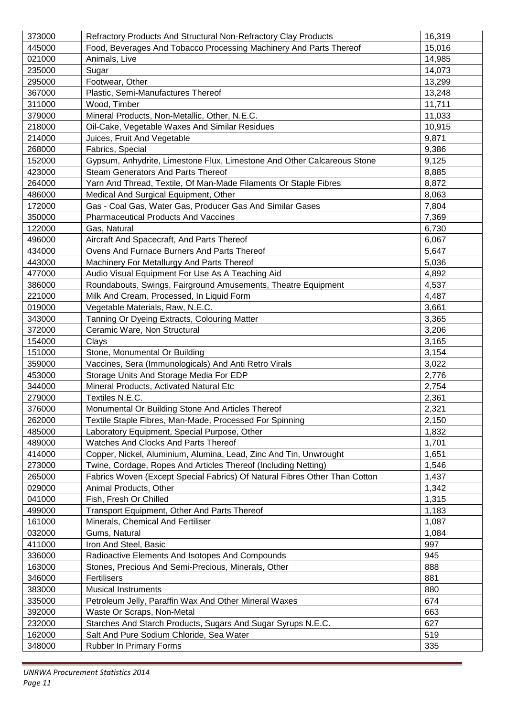| 373000 | Refractory Products And Structural Non-Refractory Clay Products            | 16,319 |
|--------|----------------------------------------------------------------------------|--------|
| 445000 | Food, Beverages And Tobacco Processing Machinery And Parts Thereof         | 15,016 |
| 021000 | Animals, Live                                                              | 14,985 |
| 235000 | Sugar                                                                      | 14,073 |
| 295000 | Footwear, Other                                                            | 13,299 |
| 367000 | Plastic, Semi-Manufactures Thereof                                         | 13,248 |
| 311000 | Wood, Timber                                                               | 11,711 |
| 379000 | Mineral Products, Non-Metallic, Other, N.E.C.                              | 11,033 |
| 218000 | Oil-Cake, Vegetable Waxes And Similar Residues                             | 10,915 |
| 214000 | Juices, Fruit And Vegetable                                                | 9,871  |
| 268000 | Fabrics, Special                                                           | 9,386  |
| 152000 | Gypsum, Anhydrite, Limestone Flux, Limestone And Other Calcareous Stone    | 9,125  |
| 423000 | <b>Steam Generators And Parts Thereof</b>                                  | 8,885  |
| 264000 | Yarn And Thread, Textile, Of Man-Made Filaments Or Staple Fibres           | 8,872  |
| 486000 | Medical And Surgical Equipment, Other                                      | 8,063  |
| 172000 | Gas - Coal Gas, Water Gas, Producer Gas And Similar Gases                  | 7,804  |
| 350000 | <b>Pharmaceutical Products And Vaccines</b>                                | 7,369  |
| 122000 | Gas, Natural                                                               | 6,730  |
| 496000 | Aircraft And Spacecraft, And Parts Thereof                                 | 6,067  |
| 434000 | Ovens And Furnace Burners And Parts Thereof                                | 5,647  |
| 443000 | Machinery For Metallurgy And Parts Thereof                                 | 5,036  |
| 477000 | Audio Visual Equipment For Use As A Teaching Aid                           | 4,892  |
| 386000 | Roundabouts, Swings, Fairground Amusements, Theatre Equipment              | 4,537  |
| 221000 | Milk And Cream, Processed, In Liquid Form                                  | 4,487  |
| 019000 | Vegetable Materials, Raw, N.E.C.                                           | 3,661  |
| 343000 | Tanning Or Dyeing Extracts, Colouring Matter                               | 3,365  |
| 372000 | Ceramic Ware, Non Structural                                               | 3,206  |
| 154000 | Clays                                                                      | 3,165  |
| 151000 | Stone, Monumental Or Building                                              | 3,154  |
| 359000 | Vaccines, Sera (Immunologicals) And Anti Retro Virals                      | 3,022  |
| 453000 | Storage Units And Storage Media For EDP                                    | 2,776  |
| 344000 | Mineral Products, Activated Natural Etc                                    | 2,754  |
| 279000 | Textiles N.E.C.                                                            | 2,361  |
| 376000 | Monumental Or Building Stone And Articles Thereof                          | 2,321  |
| 262000 | Textile Staple Fibres, Man-Made, Processed For Spinning                    | 2,150  |
| 485000 | Laboratory Equipment, Special Purpose, Other                               | 1,832  |
| 489000 | Watches And Clocks And Parts Thereof                                       | 1,701  |
| 414000 | Copper, Nickel, Aluminium, Alumina, Lead, Zinc And Tin, Unwrought          | 1,651  |
| 273000 | Twine, Cordage, Ropes And Articles Thereof (Including Netting)             | 1,546  |
| 265000 | Fabrics Woven (Except Special Fabrics) Of Natural Fibres Other Than Cotton | 1,437  |
| 029000 | Animal Products, Other                                                     | 1,342  |
| 041000 | Fish, Fresh Or Chilled                                                     | 1,315  |
| 499000 | Transport Equipment, Other And Parts Thereof                               | 1,183  |
| 161000 | Minerals, Chemical And Fertiliser                                          | 1,087  |
| 032000 | Gums, Natural                                                              | 1,084  |
| 411000 | Iron And Steel, Basic                                                      | 997    |
| 336000 | Radioactive Elements And Isotopes And Compounds                            | 945    |
| 163000 | Stones, Precious And Semi-Precious, Minerals, Other                        | 888    |
| 346000 | Fertilisers                                                                | 881    |
| 383000 | <b>Musical Instruments</b>                                                 | 880    |
| 335000 | Petroleum Jelly, Paraffin Wax And Other Mineral Waxes                      | 674    |
| 392000 | Waste Or Scraps, Non-Metal                                                 | 663    |
| 232000 | Starches And Starch Products, Sugars And Sugar Syrups N.E.C.               | 627    |
| 162000 | Salt And Pure Sodium Chloride, Sea Water                                   | 519    |
| 348000 | Rubber In Primary Forms                                                    | 335    |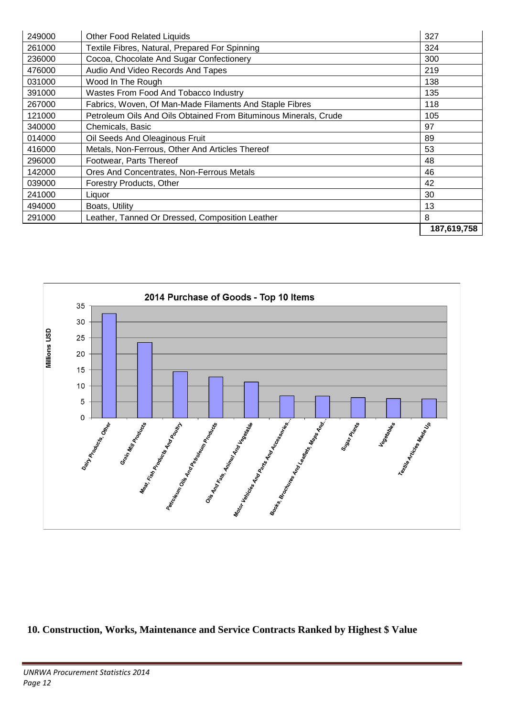| 249000 | <b>Other Food Related Liquids</b>                                | 327         |
|--------|------------------------------------------------------------------|-------------|
| 261000 | Textile Fibres, Natural, Prepared For Spinning                   | 324         |
| 236000 | Cocoa, Chocolate And Sugar Confectionery                         | 300         |
| 476000 | Audio And Video Records And Tapes                                | 219         |
| 031000 | Wood In The Rough                                                | 138         |
| 391000 | Wastes From Food And Tobacco Industry                            | 135         |
| 267000 | Fabrics, Woven, Of Man-Made Filaments And Staple Fibres          | 118         |
| 121000 | Petroleum Oils And Oils Obtained From Bituminous Minerals, Crude | 105         |
| 340000 | Chemicals, Basic                                                 | 97          |
| 014000 | Oil Seeds And Oleaginous Fruit                                   | 89          |
| 416000 | Metals, Non-Ferrous, Other And Articles Thereof                  | 53          |
| 296000 | Footwear, Parts Thereof                                          | 48          |
| 142000 | Ores And Concentrates, Non-Ferrous Metals                        | 46          |
| 039000 | Forestry Products, Other                                         | 42          |
| 241000 | Liquor                                                           | 30          |
| 494000 | Boats, Utility                                                   | 13          |
| 291000 | Leather, Tanned Or Dressed, Composition Leather                  | 8           |
|        |                                                                  | 187,619,758 |



**10. Construction, Works, Maintenance and Service Contracts Ranked by Highest \$ Value**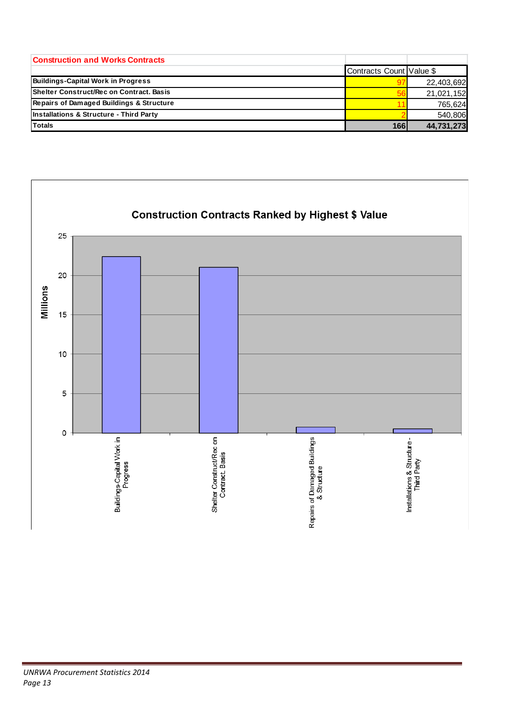| <b>Construction and Works Contracts</b>   |                          |            |
|-------------------------------------------|--------------------------|------------|
|                                           | Contracts Count Value \$ |            |
| <b>Buildings-Capital Work in Progress</b> |                          | 22,403,692 |
| Shelter Construct/Rec on Contract, Basis  | 56                       | 21,021,152 |
| Repairs of Damaged Buildings & Structure  |                          | 765,624    |
| Installations & Structure - Third Party   |                          | 540.806    |
| <b>Totals</b>                             | 166                      | 44,731,273 |